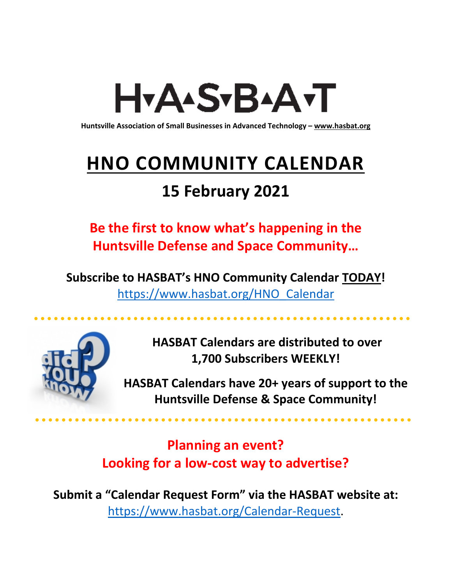# H<sub>Y</sub>AASTBAATT

**Huntsville Association of Small Businesses in Advanced Technology – [www.hasbat.org](http://www.hasbat.org/)**

# **HNO COMMUNITY CALENDAR**

# **15 February 2021**

**Be the first to know what's happening in the Huntsville Defense and Space Community…** 

**Subscribe to HASBAT's HNO Community Calendar TODAY!**  [https://www.hasbat.org/HNO\\_Calendar](https://www.hasbat.org/HNO_Calendar)



**HASBAT Calendars are distributed to over 1,700 Subscribers WEEKLY!**

**HASBAT Calendars have 20+ years of support to the Huntsville Defense & Space Community!** 

. . . . . . . . . . . . . . . . . . .

**Planning an event? Looking for a low-cost way to advertise?**

**Submit a "Calendar Request Form" via the HASBAT website at:**  [https://www.hasbat.org/Calendar-Request.](https://www.hasbat.org/Calendar-Request)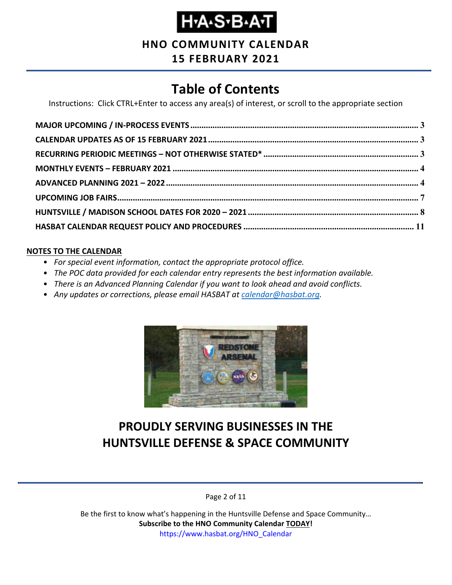**HNO COMMUNITY CALENDAR**

**15 FEBRUARY 2021**

# **Table of Contents**

Instructions: Click CTRL+Enter to access any area(s) of interest, or scroll to the appropriate section

#### **NOTES TO THE CALENDAR**

- *For special event information, contact the appropriate protocol office.*
- *The POC data provided for each calendar entry represents the best information available.*
- *There is an Advanced Planning Calendar if you want to look ahead and avoid conflicts.*
- *Any updates or corrections, please email HASBAT at [calendar@hasbat.org.](mailto:calendar@hasbat.org)*



# **PROUDLY SERVING BUSINESSES IN THE HUNTSVILLE DEFENSE & SPACE COMMUNITY**

Page 2 of 11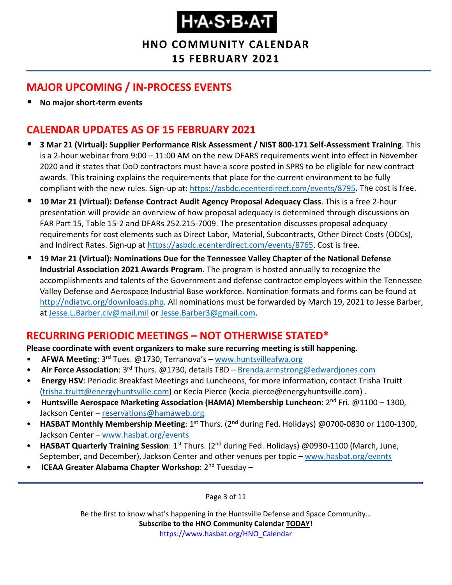**HNO COMMUNITY CALENDAR 15 FEBRUARY 2021**

### <span id="page-2-0"></span>**MAJOR UPCOMING / IN-PROCESS EVENTS**

• **No major short-term events**

### <span id="page-2-1"></span>**CALENDAR UPDATES AS OF 15 FEBRUARY 2021**

- **3 Mar 21 (Virtual): Supplier Performance Risk Assessment / NIST 800-171 Self-Assessment Training**. This is a 2-hour webinar from 9:00 – 11:00 AM on the new DFARS requirements went into effect in November 2020 and it states that DoD contractors must have a score posted in SPRS to be eligible for new contract awards. This training explains the requirements that place for the current environment to be fully compliant with the new rules. Sign-up at: [https://asbdc.ecenterdirect.com/events/8795.](https://asbdc.ecenterdirect.com/events/8795) The cost is free.
- **10 Mar 21 (Virtual): Defense Contract Audit Agency Proposal Adequacy Class**. This is a free 2-hour presentation will provide an overview of how proposal adequacy is determined through discussions on FAR Part 15, Table 15-2 and DFARs 252.215-7009. The presentation discusses proposal adequacy requirements for cost elements such as Direct Labor, Material, Subcontracts, Other Direct Costs (ODCs), and Indirect Rates. Sign-up at [https://asbdc.ecenterdirect.com/events/8765.](https://asbdc.ecenterdirect.com/events/8765) Cost is free.
- **19 Mar 21 (Virtual): Nominations Due for the Tennessee Valley Chapter of the National Defense Industrial Association 2021 Awards Program.** The program is hosted annually to recognize the accomplishments and talents of the Government and defense contractor employees within the Tennessee Valley Defense and Aerospace Industrial Base workforce. Nomination formats and forms can be found at [http://ndiatvc.org/downloads.php.](http://ndiatvc.org/downloads.php) All nominations must be forwarded by March 19, 2021 to Jesse Barber, at [Jesse.L.Barber.civ@mail.mil](mailto:Jesse.L.Barber.civ@mail.mil) or [Jesse.Barber3@gmail.com.](mailto:Jesse.Barber3@gmail.com)

### <span id="page-2-2"></span>**RECURRING PERIODIC MEETINGS – NOT OTHERWISE STATED\***

#### **Please coordinate with event organizers to make sure recurring meeting is still happening.**

- **AFWA Meeting**: 3rd Tues. @1730, Terranova's [www.huntsvilleafwa.org](http://www.huntsvilleafwa.org/)
- **Air Force Association**: 3rd Thurs. @1730, details TBD [Brenda.armstrong@edwardjones.com](mailto:Brenda.armstrong@edwardjones.com)
- **Energy HSV**: Periodic Breakfast Meetings and Luncheons, for more information, contact Trisha Truitt [\(trisha.truitt@energyhuntsville.com\)](mailto:trisha.truitt@energyhuntsville.com) or Kecia Pierce (kecia.pierce@energyhuntsville.com) .
- Huntsville Aerospace Marketing Association (HAMA) Membership Luncheon: 2<sup>nd</sup> Fri. @1100 1300, Jackson Center – [reservations@hamaweb.org](mailto:reservations@hamaweb.org)
- **HASBAT Monthly Membership Meeting**: 1<sup>st</sup> Thurs. (2<sup>nd</sup> during Fed. Holidays) @0700-0830 or 1100-1300, Jackson Center – [www.hasbat.org/events](http://www.hasbat.org/events)
- **HASBAT Quarterly Training Session**: 1<sup>st</sup> Thurs. (2<sup>nd</sup> during Fed. Holidays) @0930-1100 (March, June, September, and December), Jackson Center and other venues per topic – [www.hasbat.org/events](http://www.hasbat.org/events)
- **ICEAA Greater Alabama Chapter Workshop**: 2nd Tuesday –

Page 3 of 11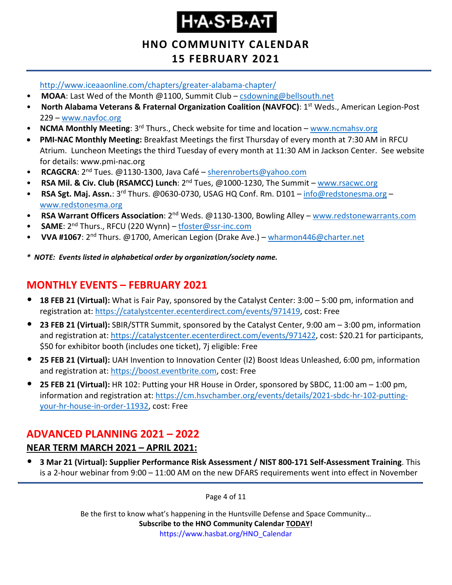# **Н-А-S-В-А-Т**

### **HNO COMMUNITY CALENDAR 15 FEBRUARY 2021**

<http://www.iceaaonline.com/chapters/greater-alabama-chapter/>

- **MOAA**: Last Wed of the Month @1100, Summit Club [csdowning@bellsouth.net](mailto:csdowning@bellsouth.net)
- **North Alabama Veterans & Fraternal Organization Coalition (NAVFOC)**: 1st Weds., American Legion-Post 229 – [www.navfoc.org](http://www.navfoc.org/)
- **NCMA Monthly Meeting**: 3rd Thurs., Check website for time and location [www.ncmahsv.org](http://www.ncmahsv.org/)
- **PMI-NAC Monthly Meeting:** Breakfast Meetings the first Thursday of every month at 7:30 AM in RFCU Atrium. Luncheon Meetings the third Tuesday of every month at 11:30 AM in Jackson Center. See website for details: www.pmi-nac.org
- **RCAGCRA**: 2nd Tues. @1130-1300, Java Café [sherenroberts@yahoo.com](mailto:sherenroberts@yahoo.com)
- **RSA Mil. & Civ. Club (RSAMCC) Lunch**: 2nd Tues, @1000-1230, The Summit [www.rsacwc.org](http://www.rsacwc.org/)
- **RSA Sgt. Maj. Assn.**: 3rd Thurs. @0630-0730, USAG HQ Conf. Rm. D101 [info@redstonesma.org](mailto:info@redstonesma.org) [www.redstonesma.org](http://www.redstonesma.org/)
- **RSA Warrant Officers Association**: 2nd Weds. @1130-1300, Bowling Alley [www.redstonewarrants.com](http://www.redstonewarrants.com/)
- **SAME**: 2<sup>nd</sup> Thurs., RFCU (220 Wynn) [tfoster@ssr-inc.com](mailto:tfoster@ssr-inc.com)
- **VVA #1067**: 2nd Thurs. @1700, American Legion (Drake Ave.) [wharmon446@charter.net](mailto:wharmon446@charter.net)
- *\* NOTE: Events listed in alphabetical order by organization/society name.*

# <span id="page-3-0"></span>**MONTHLY EVENTS – FEBRUARY 2021**

- **18 FEB 21 (Virtual):** What is Fair Pay, sponsored by the Catalyst Center: 3:00 5:00 pm, information and registration at: [https://catalystcenter.ecenterdirect.com/events/971419,](https://catalystcenter.ecenterdirect.com/events/971419) cost: Free
- **23 FEB 21 (Virtual):** SBIR/STTR Summit, sponsored by the Catalyst Center, 9:00 am 3:00 pm, information and registration at: [https://catalystcenter.ecenterdirect.com/events/971422,](https://catalystcenter.ecenterdirect.com/events/971422) cost: \$20.21 for participants, \$50 for exhibitor booth (includes one ticket), 7j eligible: Free
- **25 FEB 21 (Virtual):** UAH Invention to Innovation Center (I2) Boost Ideas Unleashed, 6:00 pm, information and registration at: [https://boost.eventbrite.com,](https://boost.eventbrite.com/) cost: Free
- **25 FEB 21 (Virtual):** HR 102: Putting your HR House in Order, sponsored by SBDC, 11:00 am 1:00 pm, information and registration at: [https://cm.hsvchamber.org/events/details/2021-sbdc-hr-102-putting](https://cm.hsvchamber.org/events/details/2021-sbdc-hr-102-putting-your-hr-house-in-order-11932)[your-hr-house-in-order-11932,](https://cm.hsvchamber.org/events/details/2021-sbdc-hr-102-putting-your-hr-house-in-order-11932) cost: Free

### <span id="page-3-1"></span>**ADVANCED PLANNING 2021 – 2022**

#### **NEAR TERM MARCH 2021 – APRIL 2021:**

• **3 Mar 21 (Virtual): Supplier Performance Risk Assessment / NIST 800-171 Self-Assessment Training**. This is a 2-hour webinar from 9:00 – 11:00 AM on the new DFARS requirements went into effect in November

Page 4 of 11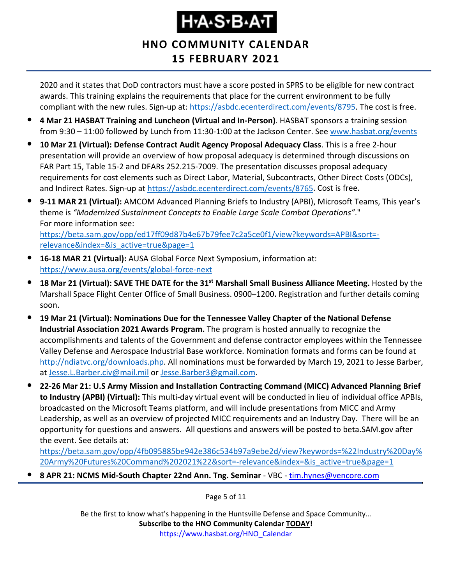## **HNO COMMUNITY CALENDAR 15 FEBRUARY 2021**

2020 and it states that DoD contractors must have a score posted in SPRS to be eligible for new contract awards. This training explains the requirements that place for the current environment to be fully compliant with the new rules. Sign-up at: [https://asbdc.ecenterdirect.com/events/8795.](https://asbdc.ecenterdirect.com/events/8795) The cost is free.

- **4 Mar 21 HASBAT Training and Luncheon (Virtual and In-Person)**. HASBAT sponsors a training session from 9:30 – 11:00 followed by Lunch from 11:30-1:00 at the Jackson Center. See [www.hasbat.org/events](http://www.hasbat.org/events)
- **10 Mar 21 (Virtual): Defense Contract Audit Agency Proposal Adequacy Class**. This is a free 2-hour presentation will provide an overview of how proposal adequacy is determined through discussions on FAR Part 15, Table 15-2 and DFARs 252.215-7009. The presentation discusses proposal adequacy requirements for cost elements such as Direct Labor, Material, Subcontracts, Other Direct Costs (ODCs), and Indirect Rates. Sign-up at [https://asbdc.ecenterdirect.com/events/8765.](https://asbdc.ecenterdirect.com/events/8765) Cost is free.
- **9-11 MAR 21 (Virtual):** AMCOM Advanced Planning Briefs to Industry (APBI), Microsoft Teams, This year's theme is *"Modernized Sustainment Concepts to Enable Large Scale Combat Operations"*." For more information see: [https://beta.sam.gov/opp/ed17ff09d87b4e67b79fee7c2a5ce0f1/view?keywords=APBI&sort=](https://beta.sam.gov/opp/ed17ff09d87b4e67b79fee7c2a5ce0f1/view?keywords=APBI&sort=-relevance&index=&is_active=true&page=1) [relevance&index=&is\\_active=true&page=1](https://beta.sam.gov/opp/ed17ff09d87b4e67b79fee7c2a5ce0f1/view?keywords=APBI&sort=-relevance&index=&is_active=true&page=1)
- **16-18 MAR 21 (Virtual):** AUSA Global Force Next Symposium, information at: <https://www.ausa.org/events/global-force-next>
- **18 Mar 21 (Virtual): SAVE THE DATE for the 31st Marshall Small Business Alliance Meeting.** Hosted by the Marshall Space Flight Center Office of Small Business. 0900–1200**.** Registration and further details coming soon.
- **19 Mar 21 (Virtual): Nominations Due for the Tennessee Valley Chapter of the National Defense Industrial Association 2021 Awards Program.** The program is hosted annually to recognize the accomplishments and talents of the Government and defense contractor employees within the Tennessee Valley Defense and Aerospace Industrial Base workforce. Nomination formats and forms can be found at [http://ndiatvc.org/downloads.php.](http://ndiatvc.org/downloads.php) All nominations must be forwarded by March 19, 2021 to Jesse Barber, at [Jesse.L.Barber.civ@mail.mil](mailto:Jesse.L.Barber.civ@mail.mil) or [Jesse.Barber3@gmail.com.](mailto:Jesse.Barber3@gmail.com)
- **22-26 Mar 21: U.S Army Mission and Installation Contracting Command (MICC) Advanced Planning Brief to Industry (APBI) (Virtual):** This multi-day virtual event will be conducted in lieu of individual office APBIs, broadcasted on the Microsoft Teams platform, and will include presentations from MICC and Army Leadership, as well as an overview of projected MICC requirements and an Industry Day. There will be an opportunity for questions and answers. All questions and answers will be posted to beta.SAM.gov after the event. See details at:

[https://beta.sam.gov/opp/4fb095885be942e386c534b97a9ebe2d/view?keywords=%22Industry%20Day%](https://beta.sam.gov/opp/4fb095885be942e386c534b97a9ebe2d/view?keywords=%22Industry%20Day%20Army%20Futures%20Command%202021%22&sort=-relevance&index=&is_active=true&page=1) [20Army%20Futures%20Command%202021%22&sort=-relevance&index=&is\\_active=true&page=1](https://beta.sam.gov/opp/4fb095885be942e386c534b97a9ebe2d/view?keywords=%22Industry%20Day%20Army%20Futures%20Command%202021%22&sort=-relevance&index=&is_active=true&page=1)

• **8 APR 21: NCMS Mid-South Chapter 22nd Ann. Tng. Seminar** - VBC - [tim.hynes@vencore.com](mailto:tim.hynes@vencore.com)

Page 5 of 11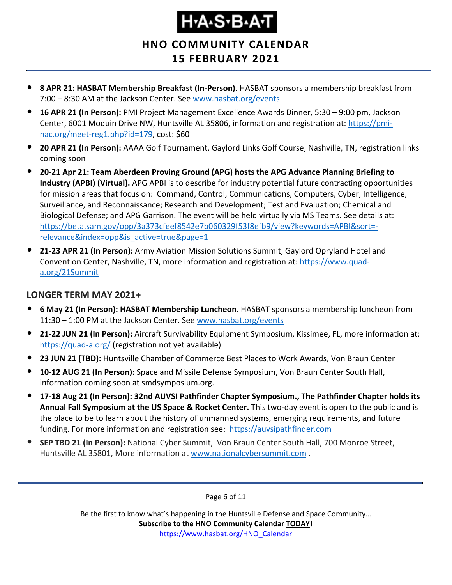### **HNO COMMUNITY CALENDAR 15 FEBRUARY 2021**

- **8 APR 21: HASBAT Membership Breakfast (In-Person)**. HASBAT sponsors a membership breakfast from 7:00 – 8:30 AM at the Jackson Center. See [www.hasbat.org/events](http://www.hasbat.org/events)
- **16 APR 21 (In Person):** PMI Project Management Excellence Awards Dinner, 5:30 9:00 pm, Jackson Center, 6001 Moquin Drive NW, Huntsville AL 35806, information and registration at: [https://pmi](https://pmi-nac.org/meet-reg1.php?id=179)[nac.org/meet-reg1.php?id=179,](https://pmi-nac.org/meet-reg1.php?id=179) cost: \$60
- **20 APR 21 (In Person):** AAAA Golf Tournament, Gaylord Links Golf Course, Nashville, TN, registration links coming soon
- **20-21 Apr 21: Team Aberdeen Proving Ground (APG) hosts the APG Advance Planning Briefing to Industry (APBI) (Virtual).** APG APBI is to describe for industry potential future contracting opportunities for mission areas that focus on: Command, Control, Communications, Computers, Cyber, Intelligence, Surveillance, and Reconnaissance; Research and Development; Test and Evaluation; Chemical and Biological Defense; and APG Garrison. The event will be held virtually via MS Teams. See details at: [https://beta.sam.gov/opp/3a373cfeef8542e7b060329f53f8efb9/view?keywords=APBI&sort=](https://beta.sam.gov/opp/3a373cfeef8542e7b060329f53f8efb9/view?keywords=APBI&sort=-relevance&index=opp&is_active=true&page=1) [relevance&index=opp&is\\_active=true&page=1](https://beta.sam.gov/opp/3a373cfeef8542e7b060329f53f8efb9/view?keywords=APBI&sort=-relevance&index=opp&is_active=true&page=1)
- **21-23 APR 21 (In Person):** Army Aviation Mission Solutions Summit, Gaylord Opryland Hotel and Convention Center, Nashville, TN, more information and registration at: [https://www.quad](https://www.quad-a.org/21Summit)[a.org/21Summit](https://www.quad-a.org/21Summit)

#### **LONGER TERM MAY 2021+**

- **6 May 21 (In Person): HASBAT Membership Luncheon**. HASBAT sponsors a membership luncheon from 11:30 – 1:00 PM at the Jackson Center. See [www.hasbat.org/events](http://www.hasbat.org/events)
- **21-22 JUN 21 (In Person):** Aircraft Survivability Equipment Symposium, Kissimee, FL, more information at: <https://quad-a.org/> (registration not yet available)
- **23 JUN 21 (TBD):** Huntsville Chamber of Commerce Best Places to Work Awards, Von Braun Center
- **10-12 AUG 21 (In Person):** Space and Missile Defense Symposium, Von Braun Center South Hall, information coming soon at smdsymposium.org.
- **17-18 Aug 21 (In Person): 32nd AUVSI Pathfinder Chapter Symposium., The Pathfinder Chapter holds its Annual Fall Symposium at the US Space & Rocket Center.** This two-day event is open to the public and is the place to be to learn about the history of unmanned systems, emerging requirements, and future funding. For more information and registration see: [https://auvsipathfinder.com](https://auvsipathfinder.com/)
- **SEP TBD 21 (In Person):** National Cyber Summit, Von Braun Center South Hall, 700 Monroe Street, Huntsville AL 35801, More information at [www.nationalcybersummit.com](http://www.nationalcybersummit.com/) .

Page 6 of 11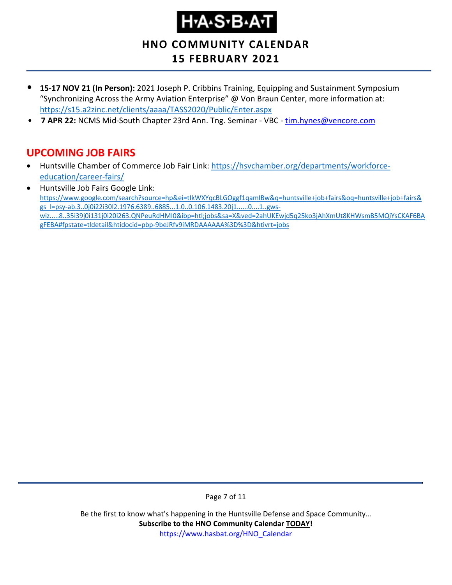**HNO COMMUNITY CALENDAR**

### **15 FEBRUARY 2021**

- **15-17 NOV 21 (In Person):** 2021 Joseph P. Cribbins Training, Equipping and Sustainment Symposium "Synchronizing Across the Army Aviation Enterprise" @ Von Braun Center, more information at: <https://s15.a2zinc.net/clients/aaaa/TASS2020/Public/Enter.aspx>
- **7 APR 22: NCMS Mid-South Chapter 23rd Ann. Tng. Seminar VBC [tim.hynes@vencore.com](mailto:tim.hynes@vencore.com)**

### <span id="page-6-0"></span>**UPCOMING JOB FAIRS**

- Huntsville Chamber of Commerce Job Fair Link: [https://hsvchamber.org/departments/workforce](https://hsvchamber.org/departments/workforce-education/career-fairs/)[education/career-fairs/](https://hsvchamber.org/departments/workforce-education/career-fairs/)
- Huntsville Job Fairs Google Link: [https://www.google.com/search?source=hp&ei=tIkWXYqcBLGOggf1qamIBw&q=huntsville+job+fairs&oq=huntsville+job+fairs&](https://www.google.com/search?source=hp&ei=tIkWXYqcBLGOggf1qamIBw&q=huntsville+job+fairs&oq=huntsville+job+fairs&gs_l=psy-ab.3..0j0i22i30l2.1976.6389..6885...1.0..0.106.1483.20j1......0....1..gws-wiz.....8..35i39j0i131j0i20i263.QNPeuRdHMI0&ibp=htl;jobs&sa=X&ved=2ahUKEwjd5q25ko3jAhXmUt8KHWsmB5MQiYsCKAF6BAgFEBA#fpstate=tldetail&htidocid=pbp-9beJRfv9iMRDAAAAAA%3D%3D&htivrt=jobs) [gs\\_l=psy-ab.3..0j0i22i30l2.1976.6389..6885...1.0..0.106.1483.20j1......0....1..gws](https://www.google.com/search?source=hp&ei=tIkWXYqcBLGOggf1qamIBw&q=huntsville+job+fairs&oq=huntsville+job+fairs&gs_l=psy-ab.3..0j0i22i30l2.1976.6389..6885...1.0..0.106.1483.20j1......0....1..gws-wiz.....8..35i39j0i131j0i20i263.QNPeuRdHMI0&ibp=htl;jobs&sa=X&ved=2ahUKEwjd5q25ko3jAhXmUt8KHWsmB5MQiYsCKAF6BAgFEBA#fpstate=tldetail&htidocid=pbp-9beJRfv9iMRDAAAAAA%3D%3D&htivrt=jobs)[wiz.....8..35i39j0i131j0i20i263.QNPeuRdHMI0&ibp=htl;jobs&sa=X&ved=2ahUKEwjd5q25ko3jAhXmUt8KHWsmB5MQiYsCKAF6BA](https://www.google.com/search?source=hp&ei=tIkWXYqcBLGOggf1qamIBw&q=huntsville+job+fairs&oq=huntsville+job+fairs&gs_l=psy-ab.3..0j0i22i30l2.1976.6389..6885...1.0..0.106.1483.20j1......0....1..gws-wiz.....8..35i39j0i131j0i20i263.QNPeuRdHMI0&ibp=htl;jobs&sa=X&ved=2ahUKEwjd5q25ko3jAhXmUt8KHWsmB5MQiYsCKAF6BAgFEBA#fpstate=tldetail&htidocid=pbp-9beJRfv9iMRDAAAAAA%3D%3D&htivrt=jobs) [gFEBA#fpstate=tldetail&htidocid=pbp-9beJRfv9iMRDAAAAAA%3D%3D&htivrt=jobs](https://www.google.com/search?source=hp&ei=tIkWXYqcBLGOggf1qamIBw&q=huntsville+job+fairs&oq=huntsville+job+fairs&gs_l=psy-ab.3..0j0i22i30l2.1976.6389..6885...1.0..0.106.1483.20j1......0....1..gws-wiz.....8..35i39j0i131j0i20i263.QNPeuRdHMI0&ibp=htl;jobs&sa=X&ved=2ahUKEwjd5q25ko3jAhXmUt8KHWsmB5MQiYsCKAF6BAgFEBA#fpstate=tldetail&htidocid=pbp-9beJRfv9iMRDAAAAAA%3D%3D&htivrt=jobs)

Page 7 of 11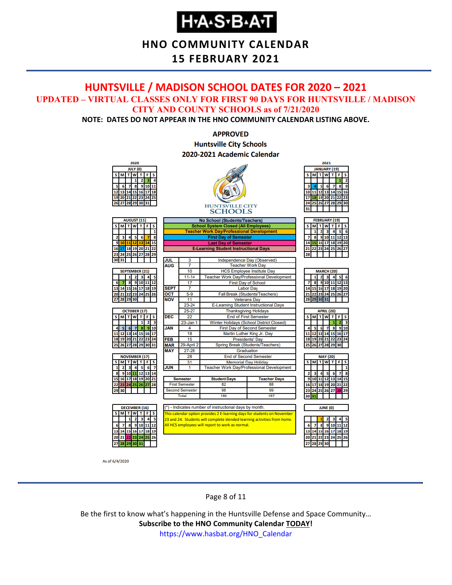**HNO COMMUNITY CALENDAR**

#### **15 FEBRUARY 2021**

#### <span id="page-7-0"></span>**HUNTSVILLE / MADISON SCHOOL DATES FOR 2020 – 2021 UPDATED – VIRTUAL CLASSES ONLY FOR FIRST 90 DAYS FOR HUNTSVILLE / MADISON CITY AND COUNTY SCHOOLS as of 7/21/2020**

**NOTE: DATES DO NOT APPEAR IN THE HNO COMMUNITY CALENDAR LISTING ABOVE.**

#### **APPROVED Huntsville City Schools** 2020-2021 Academic Calendar



As of 6/4/2020

Page 8 of 11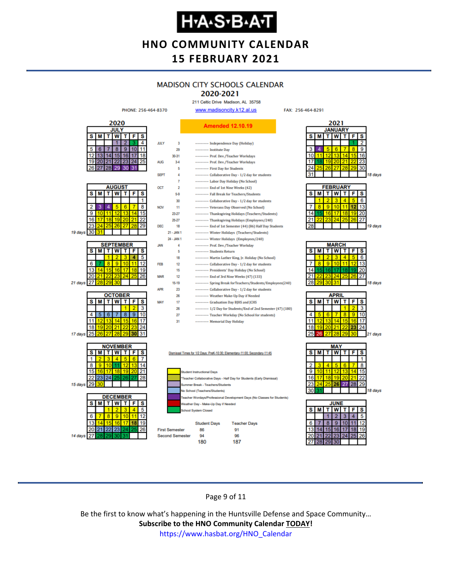### **HNO COMMUNITY CALENDAR 15 FEBRUARY 2021**

# **MADISON CITY SCHOOLS CALENDAR**

2020-2021 211 Celtic Drive Madison, AL 35758

FAX: 256-464-8291



Page 9 of 11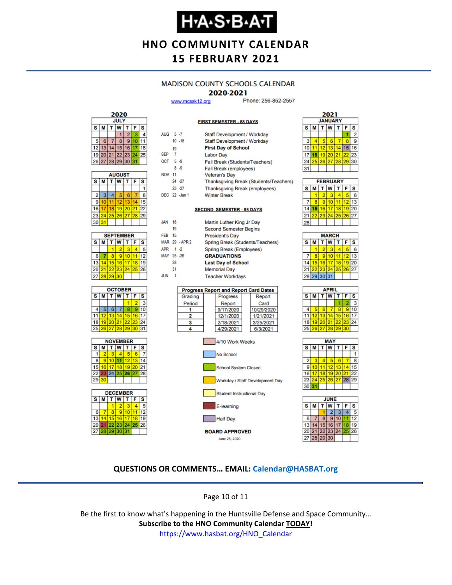# **Н-А-S-В-А-Т**

### **HNO COMMUNITY CALENDAR 15 FEBRUARY 2021**

#### **MADISON COUNTY SCHOOLS CALENDAR**

#### 2020-2021

**FIRST SEMESTER - 88 DAYS** 

www.mcssk12.org

Phone: 256-852-2557



| <b>AUGUST</b> |    |    |          |    |    |    |  |
|---------------|----|----|----------|----|----|----|--|
| s             | М  | S  |          |    |    |    |  |
|               |    |    |          |    |    |    |  |
| 2             | 3  | 4  | 5        | 6  |    | 8  |  |
| 9             | 10 |    | 12       | 13 |    |    |  |
| 16            | 17 | 18 | 19       | 20 | 21 | 22 |  |
| 23            | 24 |    | 25 26 27 |    | 28 | 29 |  |
| 30            | 31 |    |          |    |    |    |  |

| <b>SEPTEMBER</b> |                       |                 |          |  |    |    |  |
|------------------|-----------------------|-----------------|----------|--|----|----|--|
| s                | F<br>W<br>S<br>т<br>М |                 |          |  |    |    |  |
|                  |                       |                 |          |  |    |    |  |
| 6                |                       | ٠               | g        |  |    | 12 |  |
| 13               |                       | 15 <sub>1</sub> | 16       |  | 18 | 19 |  |
| 20               | 21                    |                 | 22 23 24 |  | 25 | 26 |  |
| 27               | 28                    | 29              | 30       |  |    |    |  |







| AUG 5-7          |    |                | Staff Development / Workday                  |  |  |  |  |  |  |
|------------------|----|----------------|----------------------------------------------|--|--|--|--|--|--|
|                  |    | $10 - 18$      | Staff Development / Workday                  |  |  |  |  |  |  |
|                  | 19 |                | <b>First Day of School</b>                   |  |  |  |  |  |  |
| SEP <sub>7</sub> |    |                | <b>Labor Day</b>                             |  |  |  |  |  |  |
| OCT 5-9          |    |                | Fall Break (Students/Teachers)               |  |  |  |  |  |  |
|                  |    | 8.9            | Fall Break (employees)                       |  |  |  |  |  |  |
| <b>NOV 11</b>    |    |                | <b>Veteran's Day</b>                         |  |  |  |  |  |  |
|                  |    | 24 - 27        | Thanksgiving Break (Students/Teachers)       |  |  |  |  |  |  |
|                  |    | $25 - 27$      | Thanksgiving Break (employees)               |  |  |  |  |  |  |
|                  |    | DEC 22 -Jan 1  | <b>Winter Break</b>                          |  |  |  |  |  |  |
|                  |    |                |                                              |  |  |  |  |  |  |
|                  |    |                | <b>SECOND SEMESTER - 88 DAYS</b>             |  |  |  |  |  |  |
|                  |    |                |                                              |  |  |  |  |  |  |
| <b>JAN</b>       | 18 |                | Martin Luther King Jr Day                    |  |  |  |  |  |  |
|                  | 19 |                | <b>Second Semester Begins</b>                |  |  |  |  |  |  |
| <b>FFR 15</b>    |    |                | <b>President's Day</b>                       |  |  |  |  |  |  |
|                  |    | MAR 29 - APR 2 | Spring Break (Students/Teachers)             |  |  |  |  |  |  |
| APR 1 -2         |    |                | Spring Break (Employees)                     |  |  |  |  |  |  |
| MAY 25 -26       |    |                | <b>GRADUATIONS</b>                           |  |  |  |  |  |  |
|                  | 28 |                | <b>Last Day of School</b>                    |  |  |  |  |  |  |
|                  | 31 |                | <b>Memorial Day</b>                          |  |  |  |  |  |  |
| <b>JUN</b>       | 1  |                | <b>Teacher Workdays</b>                      |  |  |  |  |  |  |
|                  |    |                |                                              |  |  |  |  |  |  |
|                  |    |                | <b>Progress Report and Report Card Dates</b> |  |  |  |  |  |  |
|                  |    | Grading        | <b>Progress</b><br>Report                    |  |  |  |  |  |  |
|                  |    | Period         | Report<br>Card                               |  |  |  |  |  |  |
|                  |    | 1              | 9/17/2020<br>10/29/2020                      |  |  |  |  |  |  |
|                  |    | 2              | 12/1/2020<br>1/21/2021                       |  |  |  |  |  |  |
|                  |    | 3              | 2/18/2021<br>3/25/2021                       |  |  |  |  |  |  |
|                  |    | 4              | 4/29/2021<br>6/3/2021                        |  |  |  |  |  |  |
|                  |    |                |                                              |  |  |  |  |  |  |
|                  |    |                | 4/10 Work Weeks                              |  |  |  |  |  |  |
|                  |    |                |                                              |  |  |  |  |  |  |



Half Day **BOARD APPROVED** June 25, 2020



| <b>FEBRUARY</b> |    |    |                 |                             |                   |    |  |  |
|-----------------|----|----|-----------------|-----------------------------|-------------------|----|--|--|
| s               | м  |    | T W             | $\mathbf{T}$                | F                 | s  |  |  |
|                 |    | ۰  | з               |                             |                   | ĥ  |  |  |
|                 | R  | 9) | 10 <sup>1</sup> |                             | $12 \overline{ }$ | 13 |  |  |
|                 | 15 |    |                 | 16 17 18 19 20              |                   |    |  |  |
|                 |    |    |                 | 22   23   24   25   26   27 |                   |    |  |  |
|                 |    |    |                 |                             |                   |    |  |  |

| <b>MARCH</b> |                       |    |       |    |    |    |  |
|--------------|-----------------------|----|-------|----|----|----|--|
| s            | W<br>M<br>S<br>т<br>F |    |       |    |    |    |  |
|              |                       | 2  |       |    |    | 6  |  |
|              | 8                     | 9  | 10    |    | 12 |    |  |
| 14           | 15                    | 16 | 171   | 18 | 19 | 20 |  |
| 21           | 22                    |    | 23 24 | 25 | 26 | 27 |  |
|              | 28 29 30 31           |    |       |    |    |    |  |
|              |                       |    |       |    |    |    |  |

| APRIL |          |             |   |    |    |    |  |  |
|-------|----------|-------------|---|----|----|----|--|--|
| s     | M        | т           | W | т  | F  | s  |  |  |
|       |          |             |   |    |    | 3  |  |  |
| 4     |          | 6           |   | 8  | 9  | 10 |  |  |
| 11    |          | 12 13 14    |   | 15 | 16 | 17 |  |  |
| 18    |          | 19 20 21 22 |   |    | 23 | 24 |  |  |
| 25    | 26 27 28 |             |   | 29 | 30 |    |  |  |
|       |          |             |   |    |    |    |  |  |





#### **QUESTIONS OR COMMENTS… EMAIL: [Calendar@HASBAT.org](mailto:calendar@hasbat.org)**

Page 10 of 11